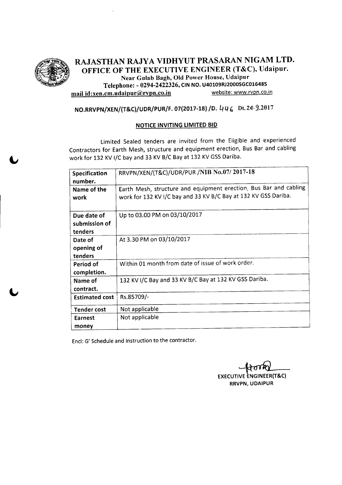

RAJASTHAN RAJYA VIDHYUT PRASARAN NIGAM LTD. , OFFICE OF THE EXECUTIVE ENGINEER (T&C), Udaipur. Near Gulab Bagh, Old Power House, Udaipur Telephone: - 0294-2422326, CIN NO. U40109RJ2000SGC016485 mail id:xen.cm.udaipur@rvpn.co.in website: www.rvpn.co.in

## NO.RRVPN/XEN/(T&C)/UDR/PUR/F. 07(2017-18) /0. 4 *q,* Dt.l()j.2017

#### NOTICE INVITING LIMITED BID

Limited Sealed tenders are invited from the Eligible and experienced Contractors for Earth Mesh, structure and equipment erection, Bus Bar and cabling work for 132 KV I/C bay and 33 KV B/C Bay at 132 KV GSS Dariba.

| Specification<br>number.                | RRVPN/XEN/(T&C)/UDR/PUR /NIB No.07/2017-18                                                                                           |
|-----------------------------------------|--------------------------------------------------------------------------------------------------------------------------------------|
| Name of the<br>work                     | Earth Mesh, structure and equipment erection, Bus Bar and cabling<br>work for 132 KV I/C bay and 33 KV B/C Bay at 132 KV GSS Dariba. |
| Due date of<br>submission of<br>tenders | Up to 03.00 PM on 03/10/2017                                                                                                         |
| Date of<br>opening of<br>tenders        | At 3.30 PM on 03/10/2017                                                                                                             |
| Period of<br>completion.                | Within 01 month from date of issue of work order.                                                                                    |
| Name of<br>contract.                    | 132 KV I/C Bay and 33 KV B/C Bay at 132 KV GSS Dariba.                                                                               |
| <b>Estimated cost</b>                   | Rs.85709/-                                                                                                                           |
| Tender cost                             | Not applicable                                                                                                                       |
| Earnest<br>money                        | Not applicable                                                                                                                       |

Encl: G' Schedule and Instruction to the contractor.

EXECUTIVE ENGINEER(T&C RRVPN, UDAIPUR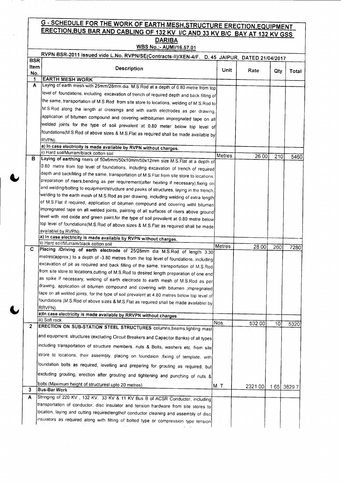#### **G - SCHEDULE FOR THE WORK OF EARTH MESH,STRUCTURE ERECTION FOUIPMENT** ERECTION,BUS BAR AND CABLING OF <sup>132</sup> KV IIC AND <sup>33</sup> KV *BIC* BAY AT <sup>132</sup> KV GSS **DARIBA**

## WBS No.:- AUMI/1S.57.01

|                           | RVPN BSR-2011 issued vide L.No. RVPN/SE(Contracts-II)/XEN-4/F. D. 45 JAIPUR, DATED 21/04/2017               |        |         |     |             |  |  |
|---------------------------|-------------------------------------------------------------------------------------------------------------|--------|---------|-----|-------------|--|--|
| <b>BSR</b><br>ltem<br>No. | <b>Description</b>                                                                                          | Unit   | Rate    | Qty | Total       |  |  |
| 1                         | <b>EARTH MESH WORK</b>                                                                                      |        |         |     |             |  |  |
| A                         | Laying of earth mesh with 25mm/28mm.dia. M.S.Rod at a depth of 0.80 metre from top                          |        |         |     |             |  |  |
|                           | level of foundations, including excavation of trench of required depth and back filling of                  |        |         |     |             |  |  |
|                           | the same, transportation of M.S.Rod from site store to locations, welding of M.S.Rod to                     |        |         |     |             |  |  |
|                           | M.S.Rod along the length at crossings and with earth electrodes as per drawing,                             |        |         |     |             |  |  |
|                           | application of bitumen compound and covering withbitumen impregnated tape on all                            |        |         |     |             |  |  |
|                           | welded joints for the type of soil prevalent at 0.80 meter below top level of                               |        |         |     |             |  |  |
|                           | foundations(M.S.Rod of above sizes & M.S.Flat as required shall be made available by                        |        |         |     |             |  |  |
|                           | RVPN).                                                                                                      |        |         |     |             |  |  |
|                           | a) In case electricity is made available by RVPN without charges.                                           |        |         |     |             |  |  |
|                           | ii) Hard soil/Murram/black cotton soil                                                                      | Metres | 26.00   | 210 | 5460        |  |  |
| в                         | Laying of earthing risers of 50x6mm/50x10mm/50x12mm size M.S.Flat at a depth of                             |        |         |     |             |  |  |
|                           | 0.80 metre from top level of foundations, including excavation of trench of required                        |        |         |     |             |  |  |
|                           | depth and backfilling of the same, transportation of M.S.Flat from site store to locations.                 |        |         |     |             |  |  |
|                           | preparation of risers, bending as per requirement(after heating if necessary), fixing on                    |        |         |     |             |  |  |
|                           | and welding/bolting to equipment/structure and peaks of structures, laying in the trench,                   |        |         |     |             |  |  |
|                           | welding to the earth mesh of M.S.Rod as per drawing, including welding of extra length                      |        |         |     |             |  |  |
|                           | of M.S.Flat if required, application of bitumen compound and covering with bitumen                          |        |         |     |             |  |  |
|                           | impregnated tape on all welded joints, painting of all surfaces of risers above ground                      |        |         |     |             |  |  |
|                           | level with red oxide and green paint, for the type of soil prevalent at 0.80 metre below                    |        |         |     |             |  |  |
|                           | top level of foundations(M.S.Rod of above sizes & M.S.Flat as required shall be made<br>availablel by RVPN) |        |         |     |             |  |  |
|                           | a) In case electricity is made available by RVPN without charges.                                           |        |         |     |             |  |  |
|                           | ii) Hard soil/Murram/black cotton soil                                                                      | Metres |         |     |             |  |  |
| C.                        | Placing /Driving of earth electrode of 25/28mm dia M.S.Rod of length 3.30                                   |        | 28.00   | 260 | 7280        |  |  |
|                           | metres(approx.) to a depth of -3.80 metres from the top level of foundations, including                     |        |         |     |             |  |  |
|                           | excavation of pit as required and back filling of the same, transportation of M.S.Rod                       |        |         |     |             |  |  |
|                           | from site store to locations, cutting of M.S.Rod to desired length preparation of one end                   |        |         |     |             |  |  |
|                           | as spike if necessary, welding of earth electrode to earth mesh of M.S.Rod as per                           |        |         |     |             |  |  |
|                           | drawing, application of bitumen compound and covering with bitumen ;impregnated                             |        |         |     |             |  |  |
|                           | tape on all welded joints, for the type of soil prevalent at 4.80 metres below top level of                 |        |         |     |             |  |  |
|                           | foundations (M.S.Rod of above sizes & M.S.Flat as required shall be made availablel by                      |        |         |     |             |  |  |
|                           | RRVPN).                                                                                                     |        |         |     |             |  |  |
|                           | a)In case electricity is made available by RRVPN without charges<br>iii) Soft rock                          |        |         |     |             |  |  |
| 2                         | ERECTION ON SUB-STATION STEEL STRUCTURES columns beams lighting mast                                        | Nos.   | 532.00  | 10  | 5320        |  |  |
|                           | and equipment, structures (excluding Circuit Breakers and Capacitor Banks) of all types                     |        |         |     |             |  |  |
|                           | including transportation of structure members, nuts & Bolts, washers etc. from site                         |        |         |     |             |  |  |
|                           | strore to locations, their assembly, placing on foundaion , fixiing of template, with                       |        |         |     |             |  |  |
|                           | foundation bolts as required, levelling and preparing for grouting as required, but                         |        |         |     |             |  |  |
|                           | excluding grouting, erection after grouting and tightening and punching of nuts &                           |        |         |     |             |  |  |
|                           | bolts. (Maximum height of structuresl upto 20 metres).                                                      |        |         |     |             |  |  |
| 3                         | <b>Bus-Bar Work</b>                                                                                         | M. T.  | 2321.00 |     | 1.65 3829.7 |  |  |
| A                         | Stringing of 220 KV, 132 KV, 33 KV & 11 KV Bus B of ACSR Conductor, including                               |        |         |     |             |  |  |
|                           | transportation of conductor, disc insulator and tension hardware from site stores to                        |        |         |     |             |  |  |
|                           | location, laying and cutting requiredlengthof conductor cleaning and assembly of disc                       |        |         |     |             |  |  |
|                           | insulators as required along with fitting of bolted type or compression type tension                        |        |         |     |             |  |  |
|                           |                                                                                                             |        |         |     |             |  |  |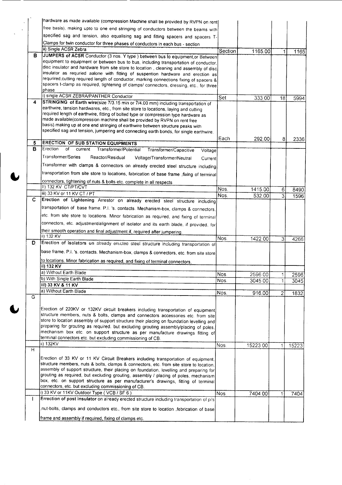|              | hardware as made available (compression Machine shall be provided by RVPN on rent                                                                                                  |         |                    |                     |              |
|--------------|------------------------------------------------------------------------------------------------------------------------------------------------------------------------------------|---------|--------------------|---------------------|--------------|
|              | free basis), making upto to one end stringing of conductors between the beams with                                                                                                 |         |                    |                     |              |
|              | specified sag and tension, also equalising sag and fitting spacers and spacers T-                                                                                                  |         |                    |                     |              |
|              | Clamps for twin conductor for three phases of conductors in each bus - section                                                                                                     |         |                    |                     |              |
|              | ii) Single ACSR Zebra                                                                                                                                                              | Section | 1165.00            | 1                   | 1165         |
| в            | JUMPERS of ACSR Conductor (3 nos. Y type) between bus to equipment or Between                                                                                                      |         |                    |                     |              |
|              | equipment to equipment or between bus to bus, including transportation of conductor,<br>disc insulator and hardware from site store to location, cleaning and assembly of disc     |         |                    |                     |              |
|              | insulator as requried aalone with fitting of suspention hardware and erection as                                                                                                   |         |                    |                     |              |
|              | requrired, cutting required length of conductor, marking connections fixing of spacers &                                                                                           |         |                    |                     |              |
|              | spacers t-clamp as required, tightening of clamps/ connectors, dressing, etc., for three<br>phase                                                                                  |         |                    |                     |              |
|              | i) single ACSR ZEBRA/PANTHER Conductor                                                                                                                                             | Set     |                    |                     |              |
| 4            | STRINGING of Earth wire(size 7/3.15 min or 7/4.00 mm) including transportation of                                                                                                  |         | 333.00             | 18                  | 5994         |
|              | earthwire, tension hardwares, etc., from site store to locations, laying and cutting                                                                                               |         |                    |                     |              |
|              | required length of earthwire, fitting of bolted type or compression type hardware as                                                                                               |         |                    |                     |              |
|              | made available(compression machine shall be provided by RVPN on rent free<br>basis) making up at one end stringing of earthwire between structure peaks with                       |         |                    |                     |              |
|              | specified sag and tension, jumpering and connecting earth bonds, for single earthwire.                                                                                             |         |                    |                     |              |
|              |                                                                                                                                                                                    | Each    | 292.00             | 8                   | 2336         |
| 5            | <b>ERECTION OF SUB STATION EQUIPMENTS</b>                                                                                                                                          |         |                    |                     |              |
| в            | Erection<br>of<br>current<br>Transformer/Potential<br>Transformer/Capacitive<br>Voltage                                                                                            |         |                    |                     |              |
|              | Transformer/Series<br>Reactor/Residual<br>Voltage/Transformer/Neutral<br>Current                                                                                                   |         |                    |                     |              |
|              | Transformer with clamps & connectors on already erected steel structure including                                                                                                  |         |                    |                     |              |
|              | transportation from site store to locations, fabrication of base frame , fixing of terminal                                                                                        |         |                    |                     |              |
|              | connectors, tightening of nuts & bolts etc. complete in all respects                                                                                                               |         |                    |                     |              |
|              | II) 132 KV CT/PT/CVT                                                                                                                                                               | Nos.    | 1415.00            | 6                   | 8490         |
| C            | iii) 33 KV or 11 KV CT / PT                                                                                                                                                        | Nos.    | 532.00             | 3                   | 1596         |
|              | Erection of Lightening Arrestor on already erected steel structure including                                                                                                       |         |                    |                     |              |
|              | transportation of base frame. P.I. 's. contacts. Mechanism-box, clamps & connectors,                                                                                               |         |                    |                     |              |
|              | etc. from site store to locations. Minor fabrication as required, and fixing of terminal                                                                                           |         |                    |                     |              |
|              | connectors, etc. adjustment/alignment of isolator and its earth blade, if provided, for                                                                                            |         |                    |                     |              |
|              | their smooth operation and final adjustment if, required after jumpering.<br>ii) 132 KV                                                                                            |         |                    |                     |              |
| D.           | Erection of Isolators on already erected steel structure including transportation of                                                                                               | Nos.    | 1422.00            | 3                   | 4266         |
|              |                                                                                                                                                                                    |         |                    |                     |              |
|              | base frame. P.I. 's. contacts. Mechanism-box, clamps & connectors, etc. from site store                                                                                            |         |                    |                     |              |
|              | to locations. Minor fabrication as required, and fixing of terminal connectors,<br>ii) 132 KV                                                                                      |         |                    |                     |              |
|              | a) Without Earth Blade                                                                                                                                                             | Nos.    |                    |                     |              |
|              | b) With Single Earth Blade                                                                                                                                                         | Nos.    | 2596.00<br>3045.00 | 1 <sup>1</sup><br>1 | 2596<br>3045 |
|              | iil) 33 KV & 11 KV                                                                                                                                                                 |         |                    |                     |              |
|              | a) Without Earth Blade                                                                                                                                                             | Nos.    | 916.00             | $\overline{c}$      | 1832         |
| G            |                                                                                                                                                                                    |         |                    |                     |              |
|              | Erection of 220KV or 132KV circuit breakers including transportation of equipment                                                                                                  |         |                    |                     |              |
|              | structure members, nuts & bolts, clamps and connectors accessories etc. from site                                                                                                  |         |                    |                     |              |
|              | store to location assembly of support structure their placing on foundation levelling and                                                                                          |         |                    |                     |              |
|              | preparing for grouting as required. but excluding grouting assembly/placing of poles,<br>mechanism box etc. on support structure as per manufacture drawings fitting of            |         |                    |                     |              |
|              | terminal connectors etc. but excluding commissioning of CB.                                                                                                                        |         |                    |                     |              |
|              | ii) 132KV                                                                                                                                                                          | Nos.    | 15223.00           | $\mathbf{1}$        | 15223        |
| H            |                                                                                                                                                                                    |         |                    |                     |              |
|              | Erection of 33 KV or 11 KV Circuit Breakers including transportation of equipment,                                                                                                 |         |                    |                     |              |
|              | structure members, nuts & bolts, clamps & connectors, etc. from site store to location,<br>assembly of support structure, their placing on foundation, levelling and preparing for |         |                    |                     |              |
|              | grouting as required, but excluding grouting, assembly / placing of poles, mechanism                                                                                               |         |                    |                     |              |
|              | box, etc. on support structure as per manufacturer's drawings, fitting of terminal                                                                                                 |         |                    |                     |              |
|              | connectors, etc. but excluding commissioning of CB.<br>i) 33 KV or 11KV Outdoor Type (VCB / SF 6)                                                                                  |         |                    |                     |              |
| $\mathbf{L}$ | Errection of post insulator on already erected structure including transportation of pi's                                                                                          | Nos.    | 7404.00            | $\mathbf{1}$        | 7404         |
|              |                                                                                                                                                                                    |         |                    |                     |              |
|              | nut-bolts, clamps and conductors etc., from site store to location ,febrication of base                                                                                            |         |                    |                     |              |
|              | frame and assembly if required, fixing of clamps etc.                                                                                                                              |         |                    |                     |              |

 $\ddot{\phantom{a}}$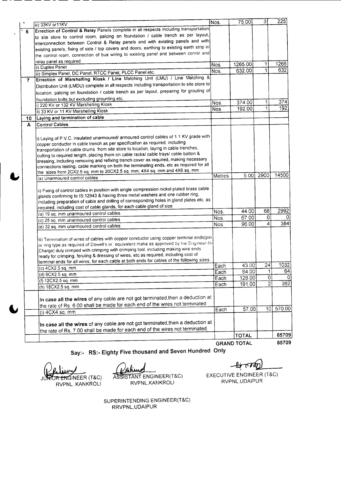|              | iii) 33KV or11KV                                                                                                                                                                                                                                                                                                                                                                                                                                                | Nos.   | 75.00              | 3              | 225      |
|--------------|-----------------------------------------------------------------------------------------------------------------------------------------------------------------------------------------------------------------------------------------------------------------------------------------------------------------------------------------------------------------------------------------------------------------------------------------------------------------|--------|--------------------|----------------|----------|
| 6            | Errection of Control & Relay Panels complete in all respects including transportation                                                                                                                                                                                                                                                                                                                                                                           |        |                    |                |          |
|              | to site store to control room, palcing on foundation / cable trench as per layout,                                                                                                                                                                                                                                                                                                                                                                              |        |                    |                |          |
|              | interconnection between Control & Relay panels and with existing panels and with                                                                                                                                                                                                                                                                                                                                                                                |        |                    |                |          |
|              | existing panels, fixing of side / top covers and doors, earthing to existing earth strip in                                                                                                                                                                                                                                                                                                                                                                     |        |                    |                |          |
|              | the control room, connection of bus wiring to existing panel and between conrol and                                                                                                                                                                                                                                                                                                                                                                             |        |                    |                |          |
|              | relay panel as required                                                                                                                                                                                                                                                                                                                                                                                                                                         |        |                    |                |          |
|              | ii) Duplex Panel                                                                                                                                                                                                                                                                                                                                                                                                                                                | Nos.   | 1265.00            | $\mathbf{1}$   | 1265     |
|              | iii) Simplex Panel, DC Panel, RTCC Panel, PLCC Panel etc.                                                                                                                                                                                                                                                                                                                                                                                                       | Nos.   | 632.00             | ï              | 632      |
| $\mathbf{7}$ | Errection of Marshalling Kiosk / Line Matching Unit (LMU) / Line Matching &                                                                                                                                                                                                                                                                                                                                                                                     |        |                    |                |          |
|              | Distribution Unit (LMDU) complete in all respects including transportation to site store to                                                                                                                                                                                                                                                                                                                                                                     |        |                    |                |          |
|              | location, palcing on foundation / cable trench as per layout, preparing for grouting of                                                                                                                                                                                                                                                                                                                                                                         |        |                    |                |          |
|              |                                                                                                                                                                                                                                                                                                                                                                                                                                                                 |        |                    |                |          |
|              | foundation bolts but excluding grounting etc.<br>i) 220 KV or 132 KV Marshelling Kiosk                                                                                                                                                                                                                                                                                                                                                                          | Nos.   | 374.00             | $\mathbf{1}$   | 374      |
|              | ii) 33 KV or 11 KV Marshelling Kiosk                                                                                                                                                                                                                                                                                                                                                                                                                            | Nos.   | 192.00             | ï              | 192      |
| 10           | Laying and termination of cable                                                                                                                                                                                                                                                                                                                                                                                                                                 |        |                    |                |          |
| A            | <b>Control Cables</b>                                                                                                                                                                                                                                                                                                                                                                                                                                           |        |                    |                |          |
|              |                                                                                                                                                                                                                                                                                                                                                                                                                                                                 |        |                    |                |          |
|              | i) Laying of P.V.C. insulated unarmoured/ armoured control cables of 1.1 KV grade with                                                                                                                                                                                                                                                                                                                                                                          |        |                    |                |          |
|              | copper conductor in cable trench as per specification as required, including                                                                                                                                                                                                                                                                                                                                                                                    |        |                    |                |          |
|              | transportation of cable drums from site store to location, laying in cable trenches,                                                                                                                                                                                                                                                                                                                                                                            |        |                    |                |          |
|              | cutting to required length, placing them on cable racks/ cable trays/ cable batton &                                                                                                                                                                                                                                                                                                                                                                            |        |                    |                |          |
|              | dressing, including removing and refixing trench cover as required, making necessary                                                                                                                                                                                                                                                                                                                                                                            |        |                    |                |          |
|              | connections testing, cable marking on both the terminating ends, etc as required for all                                                                                                                                                                                                                                                                                                                                                                        |        |                    |                |          |
|              | the sizes from 2CX2.5 sq. mm to 20CX2.5 sq. mm, 4X4 sq. mm and 4X6 sq. mm                                                                                                                                                                                                                                                                                                                                                                                       |        |                    |                |          |
|              | (a) Unarmoured control cables                                                                                                                                                                                                                                                                                                                                                                                                                                   | Metres | 5.00               | 2900           | 14500    |
|              | ii) Fixing of control cables in position with single compression nickel plated brass cable<br>glands confirming to IS:12943 & having three metal washers and one rubber ring,<br>including preparation of cable and drilling of corresponding holes in gland plates etc. as<br>required, including cost of cable glands, for each cable gland of size                                                                                                           |        |                    |                |          |
|              | (a) 19 sq. mm unarmoured control cables                                                                                                                                                                                                                                                                                                                                                                                                                         | Nos.   | 44.00              | 68             | 2992     |
|              | (c) 25 sq. mm unarmoured control cables                                                                                                                                                                                                                                                                                                                                                                                                                         | Nos.   | 67.00              | 0              | $\Omega$ |
|              | (e) 32 sq. mm unarmoured control cables                                                                                                                                                                                                                                                                                                                                                                                                                         | Nos.   | 96.00              | 4              | 384      |
|              | iii) Termination of wires of cables with copper conductor using copper terminal ends(pin<br>or ring type as required of Dowell's or equivalent make as approved by the Engineer-In-<br>Charge) duly crimped with crimping with crimping tool, including making wire ends<br>ready for crimping, feruling & dressing of wires, etc as required, including cost of<br>terminal ends for all wires, for each cable at both ends for cables of the following sizes. |        |                    |                |          |
|              | (c) 4CX2.5 sq. mm                                                                                                                                                                                                                                                                                                                                                                                                                                               | Each   | 43.00              | 24             | 1032     |
|              | (d) 6CX2.5 sq. mm                                                                                                                                                                                                                                                                                                                                                                                                                                               | Each   | 64.00              | 1              | 64       |
|              | (f) 12CX2.5 sq. mm                                                                                                                                                                                                                                                                                                                                                                                                                                              | Each   | 128.00             | $\circ$        | O        |
|              | (h) 18CX2.5 sq. mm                                                                                                                                                                                                                                                                                                                                                                                                                                              | Each   | 191.00             | $\overline{2}$ | 382      |
|              | In case all the wires of any cable are not got terminated, then a deduction at<br>the rate of Rs. 6.00 shall be made for each end of the wires not terminated.                                                                                                                                                                                                                                                                                                  |        |                    |                |          |
|              | (i) 4CX4 sq. mm                                                                                                                                                                                                                                                                                                                                                                                                                                                 | Each   | 57.00              | 10 l           | 570.00   |
|              | In case all the wires of any cable are not got terminated, then a deduction at<br>the rate of Rs. 7.00 shall be made for each end of the wires not terminated.                                                                                                                                                                                                                                                                                                  |        |                    |                |          |
|              |                                                                                                                                                                                                                                                                                                                                                                                                                                                                 |        | <b>TOTAL</b>       |                | 85709    |
|              |                                                                                                                                                                                                                                                                                                                                                                                                                                                                 |        | <b>GRAND TOTAL</b> |                | 85709    |
|              |                                                                                                                                                                                                                                                                                                                                                                                                                                                                 |        |                    |                |          |

Say:- RS:- Eighty Five thousand and Seven Hundred Only

JUNIOR ENGINEER (T&C) RVPNL, KANKROLI

ASSISTANT ENGINEER(T&C) RVPNL, KANKROLI

~

EXECUTIVE ENGINEER (T&C) RVPNL,UDAIPUR

SUPERINTENDING ENGINEER(T&C) RRVPNL,UDAIPU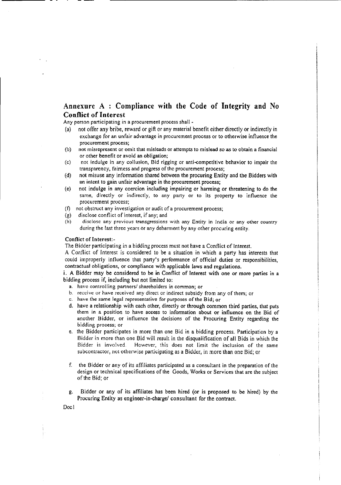#### Annexure A : Compliance with the Code of Integrity and No Conflict of Interest

Any person participating in a procurement process shall -

- (a) not offer any bribe, reward or gift or any material benefit either directly or indirectly in exchange for an unfair advantage in procurement process or to otherwise influence the procurement process;
- (b) not misrepresent or omit that misleads or attempts to mislead so as to obtain a financial or other benefit or avoid an obligation;
- (c) not indulge in any collusion, Bid rigging or anti-competitive behavior to impair the transparency, fairness and progress of the procurement process;
- (d) not misuse any information shared between the procuring Entity and the Bidders with an intent to gain unfair advantage in the procurement process;
- (e) not indulge in any coercion including impairing or harming or threatening to do the same, directly or indirectly, to any party or to its property to influence the procurement process;
- (f) not obstruct any investigation or audit of a procurement process;
- (g) disclose conflict of interest, if any; and
- (h) disclose any previous transgressions with any Entity in India or any other country during the last three years or any debarment by any other procuring entity.

#### Conflict of Interest:-

The Bidder participating in a bidding process must not have a Conflict of Interest.

A Conflict of Interest is considered to be a situation in which a party has interests that could improperly influence that party's performance of official duties or responsibilities, contractual obligations, or compliance with applicable laws and regulations.

i. A Bidder may be considered to be in Conflict of Interest with one or more parties in a bidding process if, including but not limited to:

- a. have controlling partners/ shareholders in common; or
- b. receive or have received any direct or indirect subsidy from any of them; or
- c. have the same legal representative for purposes of the Bid; or
- d. have a relationship with each other, directly or through common third parties, that puts them in a position to have access to information about or influence on the Bid of another Bidder, or influence the decisions of the Procuring Entity regarding the bidding process; or
- e. the Bidder participates in more than one Bid in a bidding process. Participation by a Bidder in more than one Bid will result in the disqualification of all Bids in which the Bidder is involved. However, this does not limit the inclusion of the same subcontractor, not otherwise participating as a Bidder, in more than one Bid; or
- f. the Bidder or any of its affil iates participated as a consultant in the preparation of the design or technical specifications of the Goods, Works or Services that are the subject of the Bid; or
- g. Bidder or any of its affiliates has been hired (or is proposed to be hired) by the Procuring Entity as engineer-in-charge/ consultant for the contract.

Doc I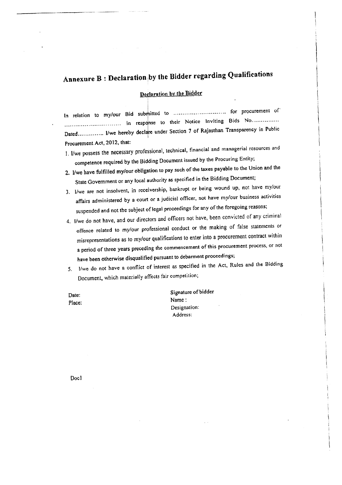# **Annexure B : Declaration** fby **the Bidder regarding Qualifications**

#### Declaration by the Bidder

i !

In relation to my/our Bid submitted to .............................. for procurement of .................. .In response I to t hei err N'once I'nvitmg. BidISO N .. Dated like hereby declare under Section 7 of Rajasthan Transparency in Public Procurement Act, 2012, that:

- I. I/we possess the necessary professional, technical, financial and managerial resources and competence required by the Bidding Document issued by the Procuring Entity;
- 2. lIwe have fulfilled my/our obligation to pay such of the taxes payable to the Union and the State Government or any local authority as specified in the Bidding Document;
- 3, I/we are not insolvent, in receivership, bankrupt or being wound up, not have my/our affairs administered by a court or a judicial officer, not have my/our business activities suspended and not the subject of legal proceedings for any of the foregoing reasons;
- 4. I/we do not have, and our directors and officers not have, been convicted of any criminal offence related to my/our professional conduct or the making of false statements or misrepresentations as to my/our qualifications to enter into a procurement contract within a period of three years preceding the commencement of this procurement process, or not have been otherwise disqualified pursuant to debarment proceedings;
- *5. Ifwe* do not have a conflict of interest as specified in the Act, Rules and the Bidding Document, which materially affects fair competition;

Date: Place: Signature of bidder Name: Designation: Address:

Doc!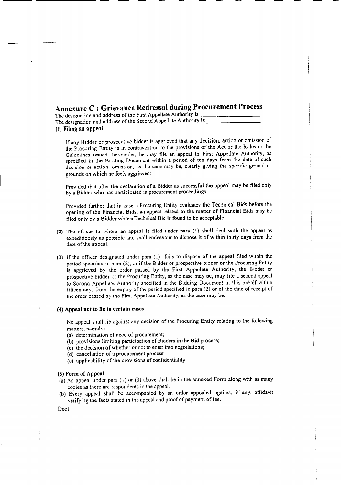## Annexure C : Grievance Redressal during Procurement Process

The designation and address of the First Appellate Authority is \_ The designation and address of the Second Appellate Authority is \_ (1) Filing an appeal

If any Bidder or prospective bidder is aggrieved that any decision, action or omission of the Procuring Entity is in contravention to the provisions of the Act or the Rules or the Guidelines issued thereunder, he may file an appeal to First Appellate Authority, as specified in the Bidding Document within a period of ten days from the date of such decision or action, omission, as the case may be, clearly giving the specific ground or grounds on which he feels aggrieved:

Provided that after the declaration of a Bidder as successful the appeal may be filed only by a Bidder who has participated in procurement proceedings:

Provided further that in case a Procuring Entity evaluates the Technical Bids before the opening of the Financial Bids, an appeal related to the matter of Financial Bids may be filed only by a Bidder whose Technical Bid is found to be acceptable.

- (2) The officer to whom an appeal is filed under para (I) shall deal with the appeal as expeditiously as possible and shall endeavour to dispose it of within thirty days from the date of the appeal.
- (3) If the officer designated under paru (1) fails to dispose of the appeal filed within the period specified in para (2), or if the Bidder or prospective bidder or the Procuring Entity is aggrieved by the order passed by the First Appellate Authority, the Bidder or prospective bidder or the Procuring Entity, as the case may be, may file a second appeal to Second Appellate Authority specified in the Bidding Document in this behalf within fifteen days from the expiry of the period specified in para (2) or of the date of receipt of the order passed by the First Appellate Authority, as the case may be.

#### (4) Appeal not to lie in certain cases

No appeal shall lie against any decision of the Procuring Entity relating to the following matters, namely:-

(a) determination of need of procurement;

- (b) provisions limiting participation of Bidders in the Bid process;
- (c) the decision of whether or not to enter into negotiations;
- (d) cancellation of a procurement process;
- (e) applicability of the provisions of confidentiality.

#### (5)Form of Appeal

- (a) An appeal under para (I) or (3) above shall be in the annexed Form along with as many copies as there are respondents in the appeal.
- (b) Every appeal shall be accompanied by an order appealed against, if any, affidavit verifying the facts stated in the appeal and proof of payment of fee.

Doc1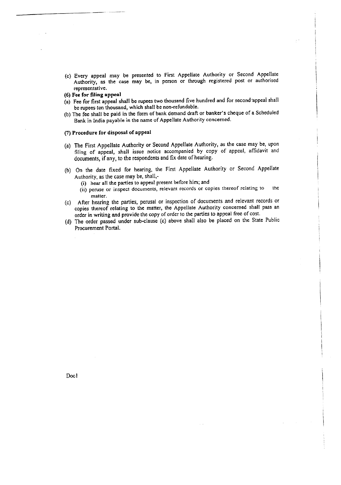- (c) Every appeal may be presented to First Appellate Authority or Second Appellate Authority, as the case may be, in person or through registered post or authorised representative.
- (6) Fee for filing appeal
- (a) Fee for first appeal shall be rupees two thousand five hundred and for second 'appeal shall be rupees ten thousand, which shall be non-refundable.
- (b) The fee shall be paid in the form of bank demand draft or banker's cheque of a Scheduled Bank in India payable in the name of Appellate Authority concerned.

#### (7) Procedure for disposal of appeal

- (a) The First Appellate Authority or Second Appellate Authority, as the case may be, upon filing of appeal, shall issue notice accompanied by copy of appeal, affidavit and documents, if any, to the respondents and fix date of hearing.
- (b) On the date fixed for hearing, the First Appellate Authority or Second Appellate Authority, as the case may be, shall,-
	- (i) hear all the parties to appeal present before him; and
	- (ii) peruse or inspect documents, relevant records or copies thereof relating to the matter.
- Cc) After hearing the parties. perusal or inspection of documents and relevant records or copies thereof relating to the matter, the Appellate Authority concerned shall pass an order in writing and provide the copy of order to the parties to appeal free of cost.
- (d) The order passed under sub-clause (c) above shall also be placed on the State Public Procurement Portal.

Doc I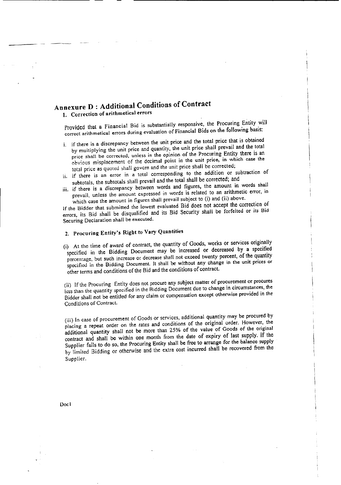## **Annexure D : Additional Conditions of Contract**

1. Correction of arithmetical errors

Provided that a Financial Bid is substantially responsive, the Procuring Entity will correct arithmetical errors during evaluation of Financial Bids on the following basis:

- i. jf there is a discrepancy between the unit price and the total price that is obtained by multiplying the unit price and quantity, the unit price shall prevail and the total price shall be corrected, unless in the opinion of the Procuring Entity there is an obvious misplacement of the decimal point in the unit price, in which case the total price as quoted shall govern and the unit price shall be corrected;
- ii, if there is an error in a total corresponding to the addition or subtraction of subtotals, the subtotals shall prevail and the total shall be corrected; and
- iii. if there is a discrepancy between words and figures, the amount in words shall prevail, unless the amount expressed in words is related to an arithmetic error, in which case the amount in figures shall prevail subject to (i) and (ii) above.

If the Bidder that submitted the lowest evaluated Bid does not accept the correction of errors, its Bid shall be disqualified and its Bid Security shall be forfeited or its Bid Securing Declaration shall be executed.

## 2. Procuring Entity's Right to Vary Quantities

(i) At the time of award of contract, the quantity of Goods, works or services originally specified in the Bidding Document may be increased or decreased by a specified percentage, but such increase or decrease shall not exceed twenty percent, of the quantity specified in the Bidding Document. It shall be without any change in the unit prices or other terms and conditions of the Bid and the conditions of contract.

(ii) If the Procuring Entity does not procure any subject matter of procurement or procures less than the quantity specified in the Ridding Document due to change in circumstances, the Bidder shall not be entitled for any claim or compensation except otherwise provided in the Conditions of Contract.

(iii) In case of procurement of Goods or services, additional quantity may be procured by placing a repeat order on the rates and conditions of the original order. However, the additional quantity shall not be more than 25% of the value of Goods of the original contract and shall be within one month from the date of expiry of last supply. If the Supplier fails to do so, the Procuring Entity shall be free to arrange for the balance supply by limited Bidding or otherwise and the extra cost incurred shall be recovered from the Supplier.

Doc l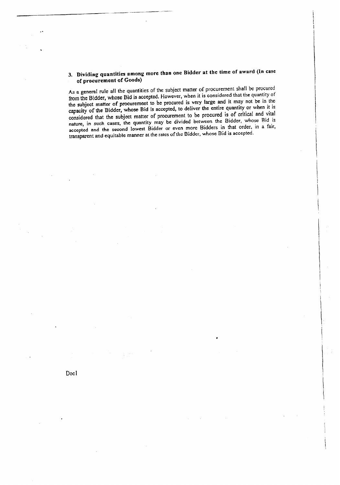## 3. Dividing quantities among more than one Bidder at the time of award (In case of procurement of Goods)

~~--~--- ..----.--

As a general rule all the quantities of the subject matter of procurement shall be procured from the Bidder, whose Bid is accepted. However, when it is considered that the quantity of the subject matter of procurement to be procured is very large and it may not be in the capacity of the Bidder, whose Bid is accepted, to deliver the entire quantity or when it is considered that the subject matter of procurement to be procured is of critical and vital nature, in such cases, the quantity may be divided between the Bidder, whose Bid is accepted and the second lowest Bidder or even more Bidders in that order, in a fair, transparent and equitable manner at the rates of the Bidder, whose Bid is accepted.

Docl